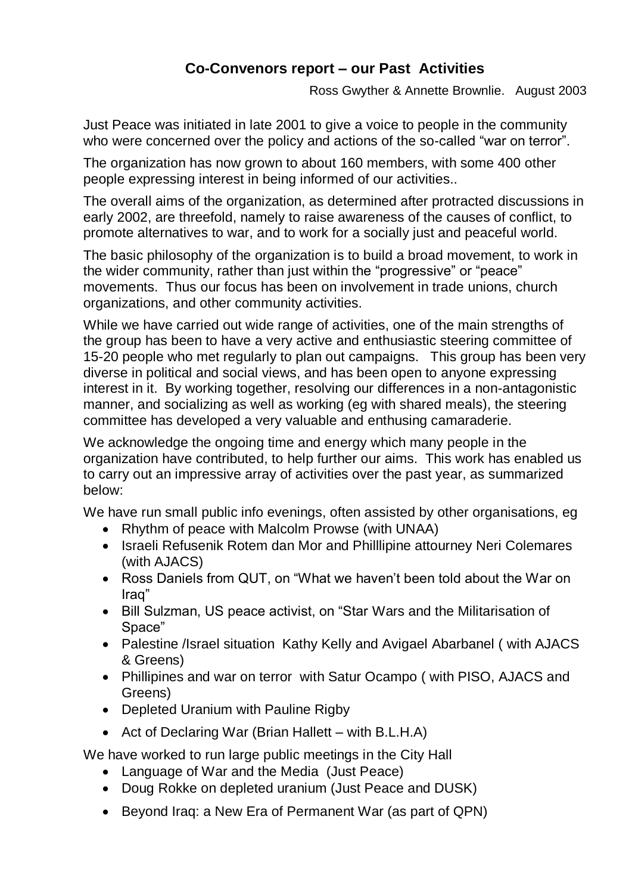## **Co-Convenors report – our Past Activities**

Ross Gwyther & Annette Brownlie. August 2003

Just Peace was initiated in late 2001 to give a voice to people in the community who were concerned over the policy and actions of the so-called "war on terror".

The organization has now grown to about 160 members, with some 400 other people expressing interest in being informed of our activities..

The overall aims of the organization, as determined after protracted discussions in early 2002, are threefold, namely to raise awareness of the causes of conflict, to promote alternatives to war, and to work for a socially just and peaceful world.

The basic philosophy of the organization is to build a broad movement, to work in the wider community, rather than just within the "progressive" or "peace" movements. Thus our focus has been on involvement in trade unions, church organizations, and other community activities.

While we have carried out wide range of activities, one of the main strengths of the group has been to have a very active and enthusiastic steering committee of 15-20 people who met regularly to plan out campaigns. This group has been very diverse in political and social views, and has been open to anyone expressing interest in it. By working together, resolving our differences in a non-antagonistic manner, and socializing as well as working (eg with shared meals), the steering committee has developed a very valuable and enthusing camaraderie.

We acknowledge the ongoing time and energy which many people in the organization have contributed, to help further our aims. This work has enabled us to carry out an impressive array of activities over the past year, as summarized below:

We have run small public info evenings, often assisted by other organisations, eg

- Rhythm of peace with Malcolm Prowse (with UNAA)
- Israeli Refusenik Rotem dan Mor and Philllipine attourney Neri Colemares (with AJACS)
- Ross Daniels from QUT, on "What we haven't been told about the War on Iraq"
- Bill Sulzman, US peace activist, on "Star Wars and the Militarisation of Space"
- Palestine /Israel situation Kathy Kelly and Avigael Abarbanel ( with AJACS & Greens)
- Phillipines and war on terror with Satur Ocampo ( with PISO, AJACS and Greens)
- Depleted Uranium with Pauline Rigby
- Act of Declaring War (Brian Hallett with B.L.H.A)

We have worked to run large public meetings in the City Hall

- Language of War and the Media (Just Peace)
- Doug Rokke on depleted uranium (Just Peace and DUSK)
- Beyond Iraq: a New Era of Permanent War (as part of QPN)